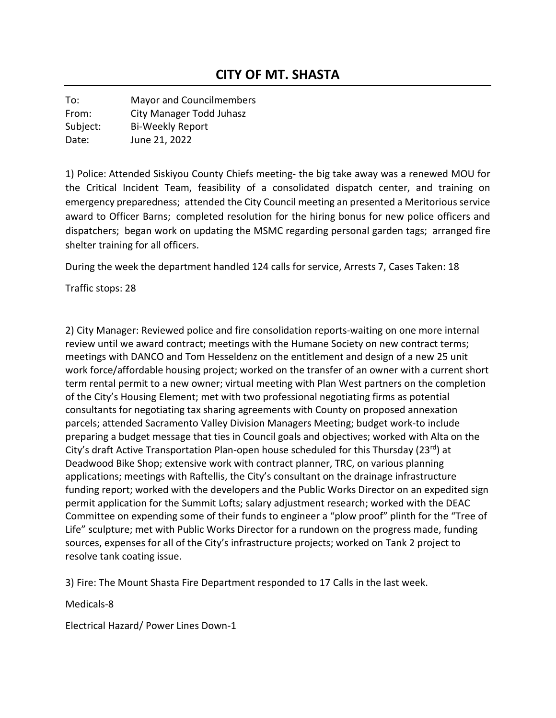To: Mayor and Councilmembers From: City Manager Todd Juhasz Subject: Bi-Weekly Report Date: June 21, 2022

1) Police: Attended Siskiyou County Chiefs meeting- the big take away was a renewed MOU for the Critical Incident Team, feasibility of a consolidated dispatch center, and training on emergency preparedness; attended the City Council meeting an presented a Meritorious service award to Officer Barns; completed resolution for the hiring bonus for new police officers and dispatchers; began work on updating the MSMC regarding personal garden tags; arranged fire shelter training for all officers.

During the week the department handled 124 calls for service, Arrests 7, Cases Taken: 18

Traffic stops: 28

2) City Manager: Reviewed police and fire consolidation reports-waiting on one more internal review until we award contract; meetings with the Humane Society on new contract terms; meetings with DANCO and Tom Hesseldenz on the entitlement and design of a new 25 unit work force/affordable housing project; worked on the transfer of an owner with a current short term rental permit to a new owner; virtual meeting with Plan West partners on the completion of the City's Housing Element; met with two professional negotiating firms as potential consultants for negotiating tax sharing agreements with County on proposed annexation parcels; attended Sacramento Valley Division Managers Meeting; budget work-to include preparing a budget message that ties in Council goals and objectives; worked with Alta on the City's draft Active Transportation Plan-open house scheduled for this Thursday (23<sup>rd</sup>) at Deadwood Bike Shop; extensive work with contract planner, TRC, on various planning applications; meetings with Raftellis, the City's consultant on the drainage infrastructure funding report; worked with the developers and the Public Works Director on an expedited sign permit application for the Summit Lofts; salary adjustment research; worked with the DEAC Committee on expending some of their funds to engineer a "plow proof" plinth for the "Tree of Life" sculpture; met with Public Works Director for a rundown on the progress made, funding sources, expenses for all of the City's infrastructure projects; worked on Tank 2 project to resolve tank coating issue.

3) Fire: The Mount Shasta Fire Department responded to 17 Calls in the last week.

## Medicals-8

Electrical Hazard/ Power Lines Down-1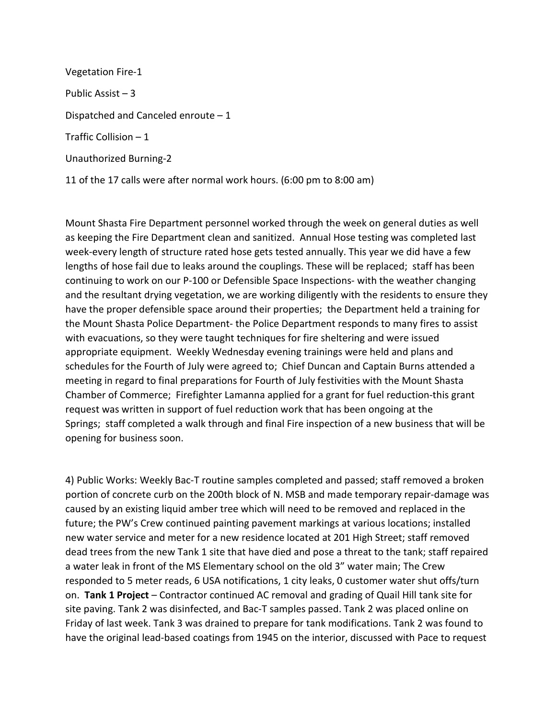Vegetation Fire-1 Public Assist – 3 Dispatched and Canceled enroute – 1 Traffic Collision – 1 Unauthorized Burning-2 11 of the 17 calls were after normal work hours. (6:00 pm to 8:00 am)

Mount Shasta Fire Department personnel worked through the week on general duties as well as keeping the Fire Department clean and sanitized. Annual Hose testing was completed last week-every length of structure rated hose gets tested annually. This year we did have a few lengths of hose fail due to leaks around the couplings. These will be replaced; staff has been continuing to work on our P-100 or Defensible Space Inspections- with the weather changing and the resultant drying vegetation, we are working diligently with the residents to ensure they have the proper defensible space around their properties; the Department held a training for the Mount Shasta Police Department- the Police Department responds to many fires to assist with evacuations, so they were taught techniques for fire sheltering and were issued appropriate equipment. Weekly Wednesday evening trainings were held and plans and schedules for the Fourth of July were agreed to; Chief Duncan and Captain Burns attended a meeting in regard to final preparations for Fourth of July festivities with the Mount Shasta Chamber of Commerce; Firefighter Lamanna applied for a grant for fuel reduction-this grant request was written in support of fuel reduction work that has been ongoing at the Springs; staff completed a walk through and final Fire inspection of a new business that will be opening for business soon.

4) Public Works: Weekly Bac-T routine samples completed and passed; staff removed a broken portion of concrete curb on the 200th block of N. MSB and made temporary repair-damage was caused by an existing liquid amber tree which will need to be removed and replaced in the future; the PW's Crew continued painting pavement markings at various locations; installed new water service and meter for a new residence located at 201 High Street; staff removed dead trees from the new Tank 1 site that have died and pose a threat to the tank; staff repaired a water leak in front of the MS Elementary school on the old 3" water main; The Crew responded to 5 meter reads, 6 USA notifications, 1 city leaks, 0 customer water shut offs/turn on. **Tank 1 Project** – Contractor continued AC removal and grading of Quail Hill tank site for site paving. Tank 2 was disinfected, and Bac-T samples passed. Tank 2 was placed online on Friday of last week. Tank 3 was drained to prepare for tank modifications. Tank 2 was found to have the original lead-based coatings from 1945 on the interior, discussed with Pace to request